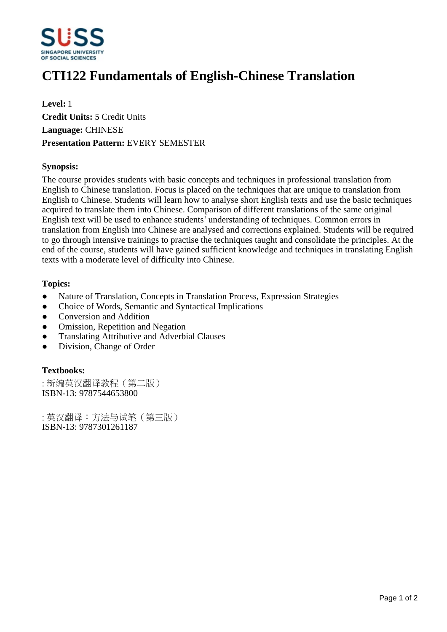

# **CTI122 Fundamentals of English-Chinese Translation**

**Level:** 1 **Credit Units:** 5 Credit Units **Language:** CHINESE **Presentation Pattern:** EVERY SEMESTER

## **Synopsis:**

The course provides students with basic concepts and techniques in professional translation from English to Chinese translation. Focus is placed on the techniques that are unique to translation from English to Chinese. Students will learn how to analyse short English texts and use the basic techniques acquired to translate them into Chinese. Comparison of different translations of the same original English text will be used to enhance students' understanding of techniques. Common errors in translation from English into Chinese are analysed and corrections explained. Students will be required to go through intensive trainings to practise the techniques taught and consolidate the principles. At the end of the course, students will have gained sufficient knowledge and techniques in translating English texts with a moderate level of difficulty into Chinese.

## **Topics:**

- Nature of Translation, Concepts in Translation Process, Expression Strategies
- Choice of Words, Semantic and Syntactical Implications
- Conversion and Addition
- Omission, Repetition and Negation
- ƔTranslating Attributive and Adverbial Clauses
- Division, Change of Order

#### **Textbooks:**

:新编英汉翻译教程(第二版) ISBN-13: 9787544653800

:英汉翻译:方法与试笔(第三版) ISBN-13: 9787301261187